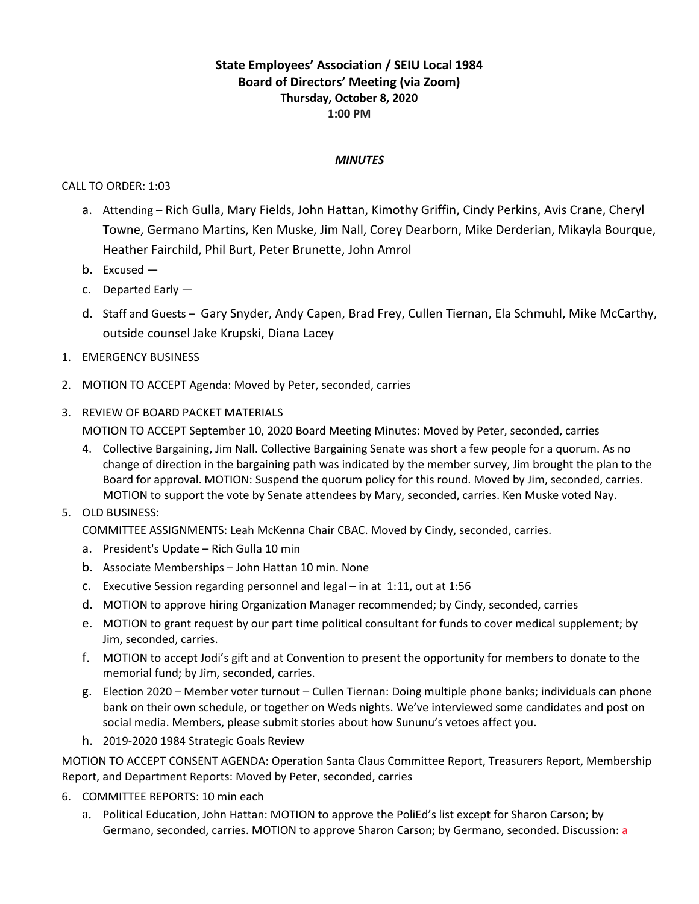## **State Employees' Association / SEIU Local 1984 Board of Directors' Meeting (via Zoom) Thursday, October 8, 2020 1:00 PM**

## *MINUTES*

## CALL TO ORDER: 1:03

- a. Attending Rich Gulla, Mary Fields, John Hattan, Kimothy Griffin, Cindy Perkins, Avis Crane, Cheryl Towne, Germano Martins, Ken Muske, Jim Nall, Corey Dearborn, Mike Derderian, Mikayla Bourque, Heather Fairchild, Phil Burt, Peter Brunette, John Amrol
- b. Excused —
- c. Departed Early —
- d. Staff and Guests Gary Snyder, Andy Capen, Brad Frey, Cullen Tiernan, Ela Schmuhl, Mike McCarthy, outside counsel Jake Krupski, Diana Lacey
- 1. EMERGENCY BUSINESS
- 2. MOTION TO ACCEPT Agenda: Moved by Peter, seconded, carries
- 3. REVIEW OF BOARD PACKET MATERIALS

MOTION TO ACCEPT September 10, 2020 Board Meeting Minutes: Moved by Peter, seconded, carries

- 4. Collective Bargaining, Jim Nall. Collective Bargaining Senate was short a few people for a quorum. As no change of direction in the bargaining path was indicated by the member survey, Jim brought the plan to the Board for approval. MOTION: Suspend the quorum policy for this round. Moved by Jim, seconded, carries. MOTION to support the vote by Senate attendees by Mary, seconded, carries. Ken Muske voted Nay.
- 5. OLD BUSINESS:

COMMITTEE ASSIGNMENTS: Leah McKenna Chair CBAC. Moved by Cindy, seconded, carries.

- a. President's Update Rich Gulla 10 min
- b. Associate Memberships John Hattan 10 min. None
- c. Executive Session regarding personnel and legal in at 1:11, out at 1:56
- d. MOTION to approve hiring Organization Manager recommended; by Cindy, seconded, carries
- e. MOTION to grant request by our part time political consultant for funds to cover medical supplement; by Jim, seconded, carries.
- f. MOTION to accept Jodi's gift and at Convention to present the opportunity for members to donate to the memorial fund; by Jim, seconded, carries.
- g. Election 2020 Member voter turnout Cullen Tiernan: Doing multiple phone banks; individuals can phone bank on their own schedule, or together on Weds nights. We've interviewed some candidates and post on social media. Members, please submit stories about how Sununu's vetoes affect you.
- h. 2019-2020 1984 Strategic Goals Review

MOTION TO ACCEPT CONSENT AGENDA: Operation Santa Claus Committee Report, Treasurers Report, Membership Report, and Department Reports: Moved by Peter, seconded, carries

- 6. COMMITTEE REPORTS: 10 min each
	- a. Political Education, John Hattan: MOTION to approve the PoliEd's list except for Sharon Carson; by Germano, seconded, carries. MOTION to approve Sharon Carson; by Germano, seconded. Discussion: a